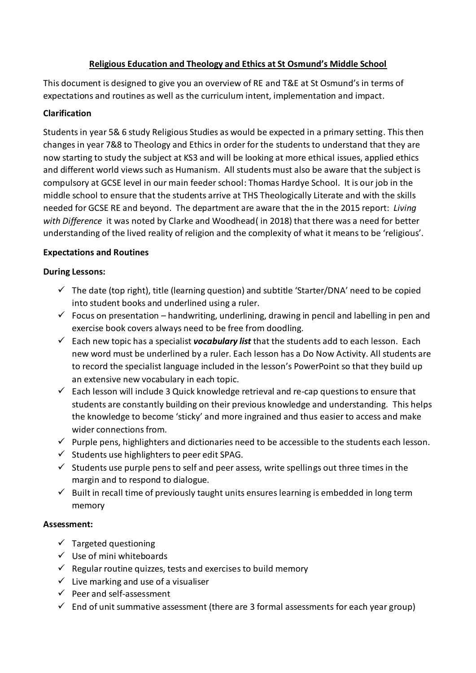# **Religious Education and Theology and Ethics at St Osmund's Middle School**

This document is designed to give you an overview of RE and T&E at St Osmund's in terms of expectations and routines as well as the curriculum intent, implementation and impact.

# **Clarification**

Students in year 5& 6 study Religious Studies as would be expected in a primary setting. This then changes in year 7&8 to Theology and Ethics in order for the students to understand that they are now starting to study the subject at KS3 and will be looking at more ethical issues, applied ethics and different world views such as Humanism. All students must also be aware that the subject is compulsory at GCSE level in our main feeder school: Thomas Hardye School. It is our job in the middle school to ensure that the students arrive at THS Theologically Literate and with the skills needed for GCSE RE and beyond. The department are aware that the in the 2015 report: *Living with Difference* it was noted by Clarke and Woodhead( in 2018) that there was a need for better understanding of the lived reality of religion and the complexity of what it means to be 'religious'.

### **Expectations and Routines**

### **During Lessons:**

- $\checkmark$  The date (top right), title (learning question) and subtitle 'Starter/DNA' need to be copied into student books and underlined using a ruler.
- $\checkmark$  Focus on presentation handwriting, underlining, drawing in pencil and labelling in pen and exercise book covers always need to be free from doodling.
- $\checkmark$  Each new topic has a specialist **vocabulary list** that the students add to each lesson. Each new word must be underlined by a ruler. Each lesson has a Do Now Activity. All students are to record the specialist language included in the lesson's PowerPoint so that they build up an extensive new vocabulary in each topic.
- $\checkmark$  Each lesson will include 3 Quick knowledge retrieval and re-cap questions to ensure that students are constantly building on their previous knowledge and understanding. This helps the knowledge to become 'sticky' and more ingrained and thus easier to access and make wider connections from.
- $\checkmark$  Purple pens, highlighters and dictionaries need to be accessible to the students each lesson.
- $\checkmark$  Students use highlighters to peer edit SPAG.
- $\checkmark$  Students use purple pens to self and peer assess, write spellings out three times in the margin and to respond to dialogue.
- $\checkmark$  Built in recall time of previously taught units ensures learning is embedded in long term memory

### **Assessment:**

- $\checkmark$  Targeted questioning
- $\checkmark$  Use of mini whiteboards
- $\checkmark$  Regular routine quizzes, tests and exercises to build memory
- $\checkmark$  Live marking and use of a visualiser
- $\checkmark$  Peer and self-assessment
- $\checkmark$  End of unit summative assessment (there are 3 formal assessments for each year group)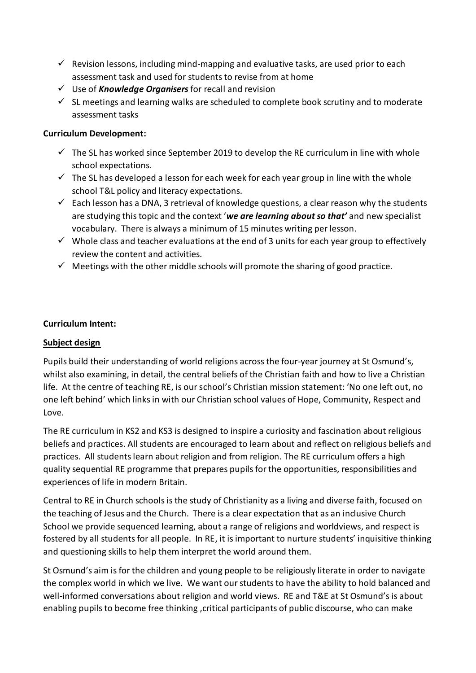- $\checkmark$  Revision lessons, including mind-mapping and evaluative tasks, are used prior to each assessment task and used for students to revise from at home
- Use of *Knowledge Organisers* for recall and revision
- $\checkmark$  SL meetings and learning walks are scheduled to complete book scrutiny and to moderate assessment tasks

#### **Curriculum Development:**

- $\checkmark$  The SL has worked since September 2019 to develop the RE curriculum in line with whole school expectations.
- $\checkmark$  The SL has developed a lesson for each week for each year group in line with the whole school T&L policy and literacy expectations.
- $\checkmark$  Each lesson has a DNA, 3 retrieval of knowledge questions, a clear reason why the students are studying this topic and the context '*we are learning about so that'* and new specialist vocabulary. There is always a minimum of 15 minutes writing per lesson.
- $\checkmark$  Whole class and teacher evaluations at the end of 3 units for each year group to effectively review the content and activities.
- $\checkmark$  Meetings with the other middle schools will promote the sharing of good practice.

#### **Curriculum Intent:**

### **Subject design**

Pupils build their understanding of world religions across the four-year journey at St Osmund's, whilst also examining, in detail, the central beliefs of the Christian faith and how to live a Christian life. At the centre of teaching RE, is our school's Christian mission statement: 'No one left out, no one left behind' which links in with our Christian school values of Hope, Community, Respect and Love.

The RE curriculum in KS2 and KS3 is designed to inspire a curiosity and fascination about religious beliefs and practices. All students are encouraged to learn about and reflect on religious beliefs and practices. All students learn about religion and from religion. The RE curriculum offers a high quality sequential RE programme that prepares pupils for the opportunities, responsibilities and experiences of life in modern Britain.

Central to RE in Church schools is the study of Christianity as a living and diverse faith, focused on the teaching of Jesus and the Church. There is a clear expectation that as an inclusive Church School we provide sequenced learning, about a range of religions and worldviews, and respect is fostered by all students for all people. In RE, it is important to nurture students' inquisitive thinking and questioning skills to help them interpret the world around them.

St Osmund's aim is for the children and young people to be religiously literate in order to navigate the complex world in which we live. We want our students to have the ability to hold balanced and well-informed conversations about religion and world views. RE and T&E at St Osmund's is about enabling pupils to become free thinking ,critical participants of public discourse, who can make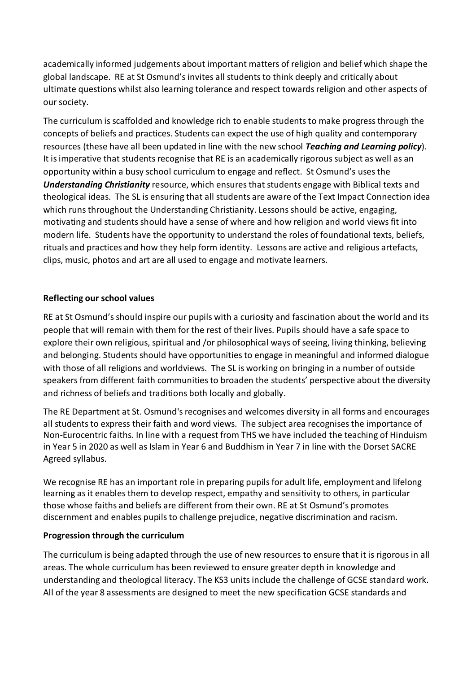academically informed judgements about important matters of religion and belief which shape the global landscape. RE at St Osmund's invites all students to think deeply and critically about ultimate questions whilst also learning tolerance and respect towards religion and other aspects of our society.

The curriculum is scaffolded and knowledge rich to enable students to make progress through the concepts of beliefs and practices. Students can expect the use of high quality and contemporary resources (these have all been updated in line with the new school *Teaching and Learning policy*). It is imperative that students recognise that RE is an academically rigorous subject as well as an opportunity within a busy school curriculum to engage and reflect. St Osmund's usesthe *Understanding Christianity* resource, which ensures that students engage with Biblical texts and theological ideas. The SL is ensuring that all students are aware of the Text Impact Connection idea which runs throughout the Understanding Christianity. Lessons should be active, engaging, motivating and students should have a sense of where and how religion and world views fit into modern life. Students have the opportunity to understand the roles of foundational texts, beliefs, rituals and practices and how they help form identity. Lessons are active and religious artefacts, clips, music, photos and art are all used to engage and motivate learners.

### **Reflecting our school values**

RE at St Osmund's should inspire our pupils with a curiosity and fascination about the world and its people that will remain with them for the rest of their lives. Pupils should have a safe space to explore their own religious, spiritual and /or philosophical ways of seeing, living thinking, believing and belonging. Students should have opportunities to engage in meaningful and informed dialogue with those of all religions and worldviews. The SL is working on bringing in a number of outside speakers from different faith communities to broaden the students' perspective about the diversity and richness of beliefs and traditions both locally and globally.

The RE Department at St. Osmund's recognises and welcomes diversity in all forms and encourages all students to express their faith and word views. The subject area recognisesthe importance of Non-Eurocentric faiths. In line with a request from THS we have included the teaching of Hinduism in Year 5 in 2020 as well as Islam in Year 6 and Buddhism in Year 7 in line with the Dorset SACRE Agreed syllabus.

We recognise RE has an important role in preparing pupils for adult life, employment and lifelong learning as it enables them to develop respect, empathy and sensitivity to others, in particular those whose faiths and beliefs are different from their own. RE at St Osmund's promotes discernment and enables pupils to challenge prejudice, negative discrimination and racism.

#### **Progression through the curriculum**

The curriculum is being adapted through the use of new resources to ensure that it is rigorous in all areas. The whole curriculum has been reviewed to ensure greater depth in knowledge and understanding and theological literacy. The KS3 units include the challenge of GCSE standard work. All of the year 8 assessments are designed to meet the new specification GCSE standards and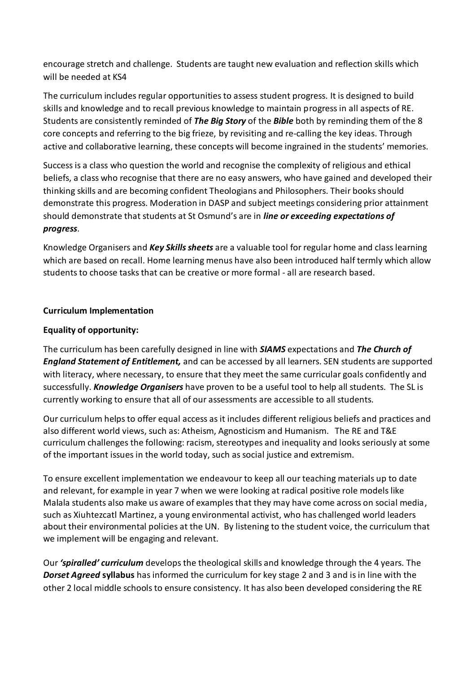encourage stretch and challenge. Students are taught new evaluation and reflection skills which will be needed at KS4

The curriculum includes regular opportunities to assess student progress. It is designed to build skills and knowledge and to recall previous knowledge to maintain progress in all aspects of RE. Students are consistently reminded of *The Big Story* of the *Bible* both by reminding them of the 8 core concepts and referring to the big frieze, by revisiting and re-calling the key ideas. Through active and collaborative learning, these concepts will become ingrained in the students' memories.

Success is a class who question the world and recognise the complexity of religious and ethical beliefs, a class who recognise that there are no easy answers, who have gained and developed their thinking skills and are becoming confident Theologians and Philosophers. Their books should demonstrate this progress. Moderation in DASP and subject meetings considering prior attainment should demonstrate that students at St Osmund's are in *line or exceeding expectations of progress*.

Knowledge Organisers and *Key Skills sheets* are a valuable tool for regular home and class learning which are based on recall. Home learning menus have also been introduced half termly which allow students to choose tasks that can be creative or more formal - all are research based.

### **Curriculum Implementation**

#### **Equality of opportunity:**

The curriculum has been carefully designed in line with *SIAMS* expectations and *The Church of England Statement of Entitlement,* and can be accessed by all learners. SEN students are supported with literacy, where necessary, to ensure that they meet the same curricular goals confidently and successfully. *Knowledge Organisers* have proven to be a useful tool to help all students. The SL is currently working to ensure that all of our assessments are accessible to all students.

Our curriculum helps to offer equal access as it includes different religious beliefs and practices and also different world views, such as: Atheism, Agnosticism and Humanism. The RE and T&E curriculum challenges the following: racism, stereotypes and inequality and looks seriously at some of the important issues in the world today, such as social justice and extremism.

To ensure excellent implementation we endeavour to keep all our teaching materials up to date and relevant, for example in year 7 when we were looking at radical positive role models like Malala students also make us aware of examples that they may have come across on social media, such as Xiuhtezcatl Martinez, a young environmental activist, who has challenged world leaders about their environmental policies at the UN. By listening to the student voice, the curriculum that we implement will be engaging and relevant.

Our *'spiralled' curriculum* develops the theological skills and knowledge through the 4 years. The *Dorset Agreed* **syllabus** has informed the curriculum for key stage 2 and 3 and is in line with the other 2 local middle schools to ensure consistency. It has also been developed considering the RE